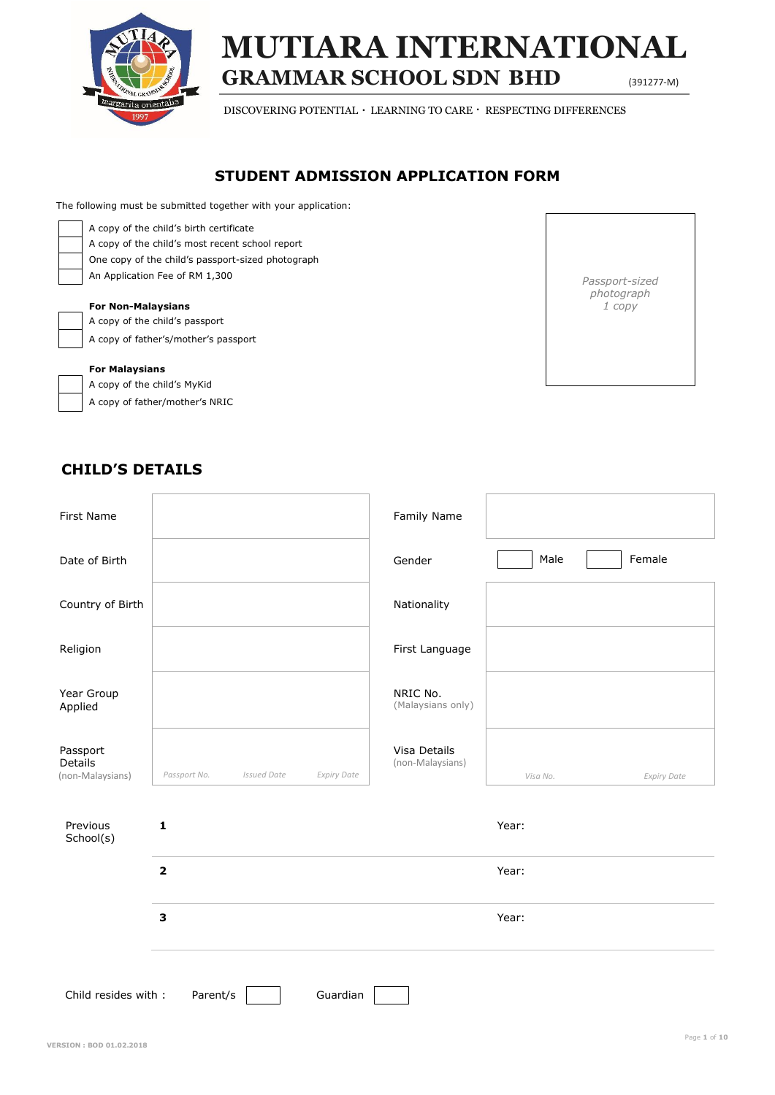

# **GRAMMAR SCHOOL SDN BHD** (391277-M) **MUTIARA INTERNATIONAL**

DISCOVERING POTENTIAL  $\cdot$  LEARNING TO CARE  $\cdot$  RESPECTING DIFFERENCES

## **STUDENT ADMISSION APPLICATION FORM**

The following must be submitted together with your application:

| A copy of the child's birth certificate |
|-----------------------------------------|
| A copy of the child's most recent sch   |
| One copy of the child's passport-size   |
| An Application Fee of RM 1,300          |

| A copy of the child's most recent school report   |
|---------------------------------------------------|
| One copy of the child's passport-sized photograph |
| An Application Fee of RM 1,300                    |

#### **For Non-Malaysians**

A copy of the child's passport A copy of father's/mother's passport

#### **For Malaysians**

A copy of the child's MyKid A copy of father/mother's NRIC



## **CHILD'S DETAILS**

| First Name                                  |                                                          | Family Name                      |                                |  |  |  |
|---------------------------------------------|----------------------------------------------------------|----------------------------------|--------------------------------|--|--|--|
| Date of Birth                               |                                                          | Gender                           | Male<br>Female                 |  |  |  |
| Country of Birth                            |                                                          | Nationality                      |                                |  |  |  |
| Religion                                    |                                                          | First Language                   |                                |  |  |  |
| Year Group<br>Applied                       |                                                          | NRIC No.<br>(Malaysians only)    |                                |  |  |  |
| Passport<br>Details<br>(non-Malaysians)     | Passport No.<br><b>Issued Date</b><br><b>Expiry Date</b> | Visa Details<br>(non-Malaysians) | Visa No.<br><b>Expiry Date</b> |  |  |  |
| Previous<br>School(s)                       | $\mathbf{1}$                                             |                                  | Year:                          |  |  |  |
|                                             | $\overline{\mathbf{2}}$                                  |                                  | Year:                          |  |  |  |
|                                             | $\overline{\mathbf{3}}$                                  |                                  | Year:                          |  |  |  |
| Child resides with:<br>Parent/s<br>Guardian |                                                          |                                  |                                |  |  |  |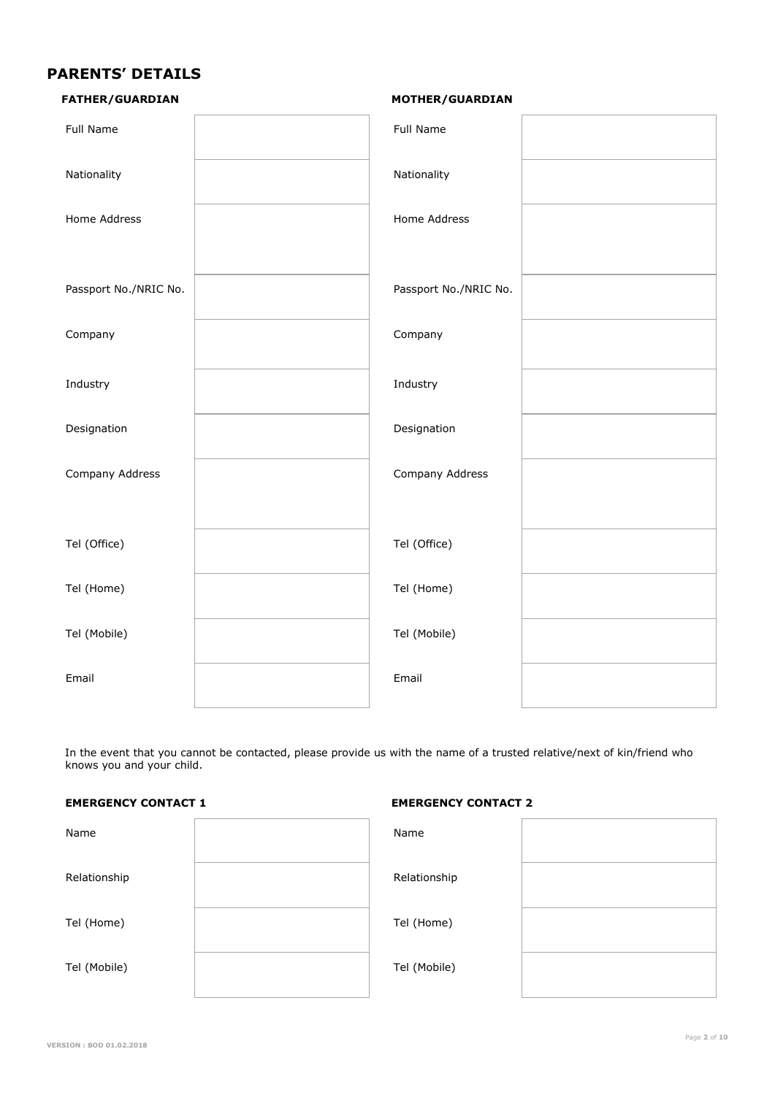## **PARENTS' DETAILS**

| <b>FATHER/GUARDIAN</b> |
|------------------------|
|                        |

#### **FATHER/GUARDIAN MOTHER/GUARDIAN**

| <b>Full Name</b>      | Full Name             |  |
|-----------------------|-----------------------|--|
| Nationality           | Nationality           |  |
| Home Address          | Home Address          |  |
| Passport No./NRIC No. | Passport No./NRIC No. |  |
| Company               | Company               |  |
| Industry              | Industry              |  |
| Designation           | Designation           |  |
| Company Address       | Company Address       |  |
| Tel (Office)          | Tel (Office)          |  |
| Tel (Home)            | Tel (Home)            |  |
| Tel (Mobile)          | Tel (Mobile)          |  |
| Email                 | Email                 |  |

 In the event that you cannot be contacted, please provide us with the name of a trusted relative/next of kin/friend who knows you and your child.

#### **EMERGENCY CONTACT 1 EMERGENCY CONTACT 2**

| Name         | Name         |  |
|--------------|--------------|--|
| Relationship | Relationship |  |
| Tel (Home)   | Tel (Home)   |  |
| Tel (Mobile) | Tel (Mobile) |  |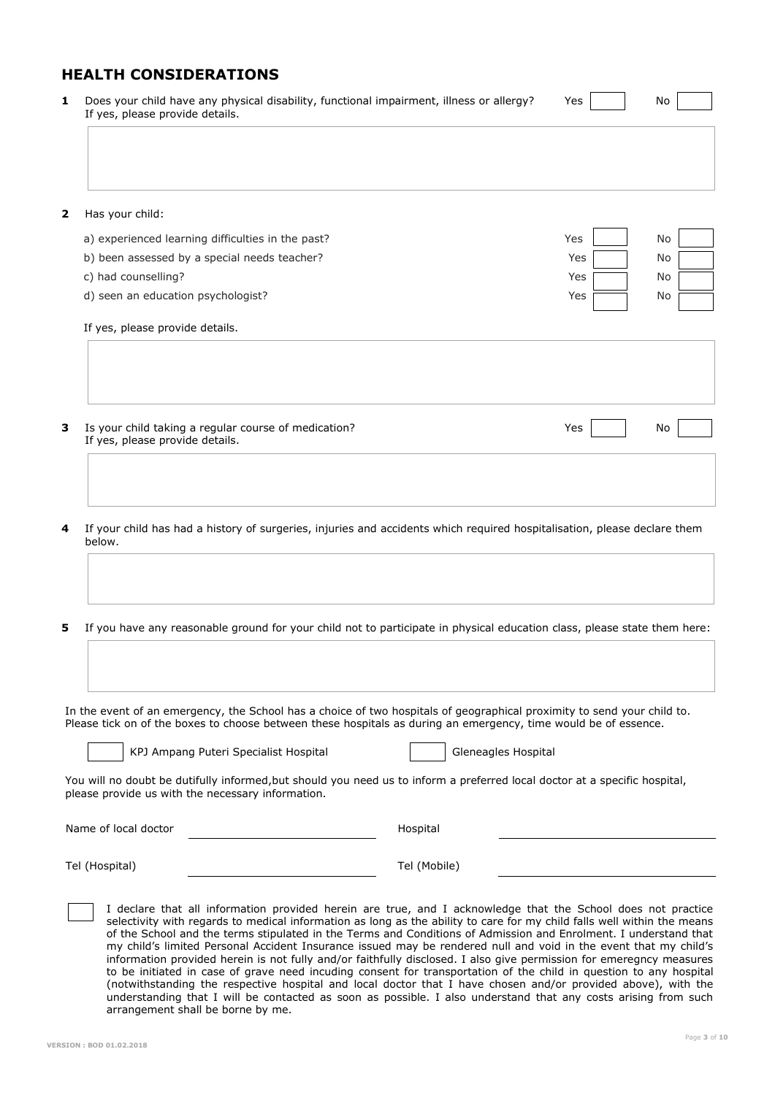## **HEALTH CONSIDERATIONS**

| 1                       | Does your child have any physical disability, functional impairment, illness or allergy?<br>If yes, please provide details. | Yes | No        |
|-------------------------|-----------------------------------------------------------------------------------------------------------------------------|-----|-----------|
| $\overline{\mathbf{2}}$ | Has your child:                                                                                                             |     |           |
|                         | a) experienced learning difficulties in the past?                                                                           | Yes | No        |
|                         | b) been assessed by a special needs teacher?                                                                                | Yes | No        |
|                         | c) had counselling?                                                                                                         | Yes | No        |
|                         | d) seen an education psychologist?                                                                                          | Yes | No        |
|                         | If yes, please provide details.                                                                                             |     |           |
|                         |                                                                                                                             |     |           |
| 3                       | Is your child taking a regular course of medication?<br>If yes, please provide details.                                     | Yes | <b>No</b> |
|                         |                                                                                                                             |     |           |
|                         |                                                                                                                             |     |           |
|                         |                                                                                                                             |     |           |

**4** If your child has had a history of surgeries, injuries and accidents which required hospitalisation, please declare them below.

**5** If you have any reasonable ground for your child not to participate in physical education class, please state them here:

 In the event of an emergency, the School has a choice of two hospitals of geographical proximity to send your child to. Please tick on of the boxes to choose between these hospitals as during an emergency, time would be of essence.

| I |  |  |  |
|---|--|--|--|
|   |  |  |  |
|   |  |  |  |

KPJ Ampang Puteri Specialist Hospital Manuel Gleneagles Hospital

You will no doubt be dutifully informed,but should you need us to inform a preferred local doctor at a specific hospital, please provide us with the necessary information.

Name of local doctor and the state of the Hospital Hospital

Tel (Mobile)

Tel (Hospital)

I declare that all information provided herein are true, and I acknowledge that the School does not practice selectivity with regards to medical information as long as the ability to care for my child falls well within the means of the School and the terms stipulated in the Terms and Conditions of Admission and Enrolment. I understand that my child's limited Personal Accident Insurance issued may be rendered null and void in the event that my child's information provided herein is not fully and/or faithfully disclosed. I also give permission for emeregncy measures to be initiated in case of grave need incuding consent for transportation of the child in question to any hospital (notwithstanding the respective hospital and local doctor that I have chosen and/or provided above), with the understanding that I will be contacted as soon as possible. I also understand that any costs arising from such arrangement shall be borne by me.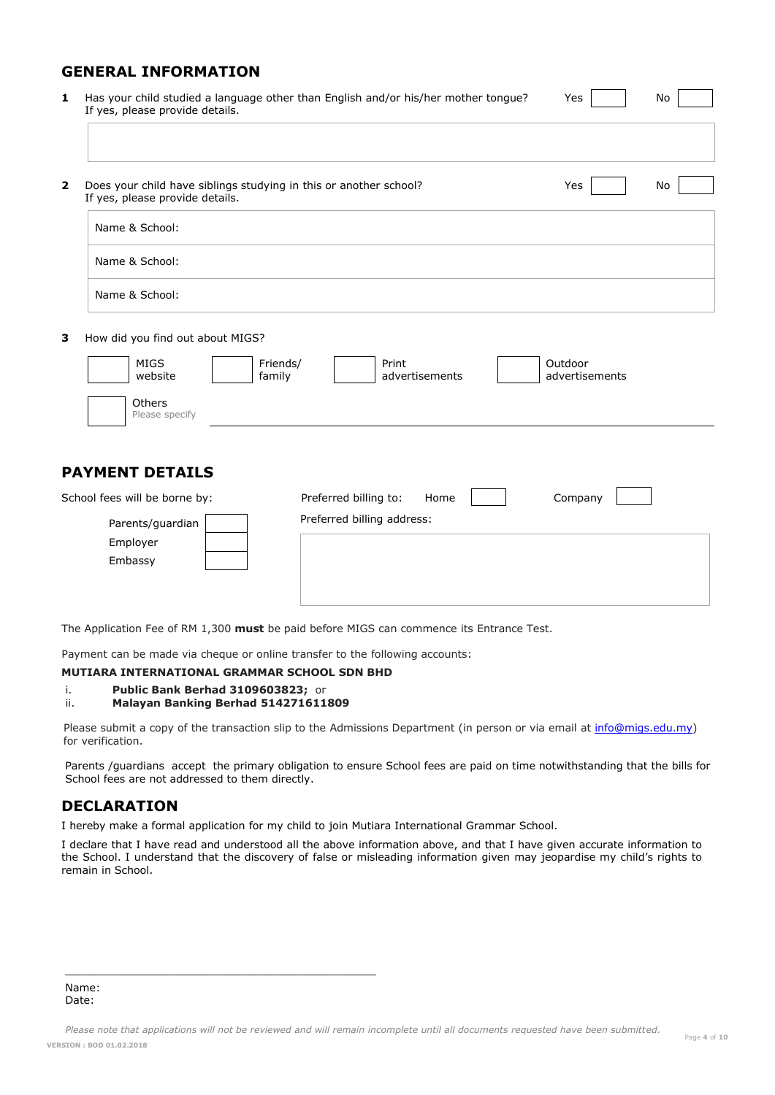## **GENERAL INFORMATION**

**1** Has your child studied a language other than English and/or his/her mother tongue? Yes No If yes, please provide details.

| 2. | Does your child have siblings studying in this or another school?<br>If yes, please provide details. | Yes | No |
|----|------------------------------------------------------------------------------------------------------|-----|----|
|    | Name & School:                                                                                       |     |    |
|    | Name & School:                                                                                       |     |    |
|    | Name & School:                                                                                       |     |    |

**3** How did you find out about MIGS?

| MIGS                     | Friends/ | Print          | Outdoor        |  |
|--------------------------|----------|----------------|----------------|--|
| website                  | family   | advertisements | advertisements |  |
| Others<br>Please specify |          |                |                |  |

## **PAYMENT DETAILS**

| School fees will be borne by: | Preferred billing to: | Home                       | Company |  |  |
|-------------------------------|-----------------------|----------------------------|---------|--|--|
| Parents/guardian<br>Employer  |                       | Preferred billing address: |         |  |  |
| Embassy                       |                       |                            |         |  |  |

The Application Fee of RM 1,300 **must** be paid before MIGS can commence its Entrance Test.

Payment can be made via cheque or online transfer to the following accounts:

#### **MUTIARA INTERNATIONAL GRAMMAR SCHOOL SDN BHD**

#### i. **Public Bank Berhad 3109603823;** or ii. **Malayan Banking Berhad 514271611809**

 $\frac{1}{2}$  ,  $\frac{1}{2}$  ,  $\frac{1}{2}$  ,  $\frac{1}{2}$  ,  $\frac{1}{2}$  ,  $\frac{1}{2}$  ,  $\frac{1}{2}$  ,  $\frac{1}{2}$  ,  $\frac{1}{2}$  ,  $\frac{1}{2}$  ,  $\frac{1}{2}$  ,  $\frac{1}{2}$  ,  $\frac{1}{2}$  ,  $\frac{1}{2}$  ,  $\frac{1}{2}$  ,  $\frac{1}{2}$  ,  $\frac{1}{2}$  ,  $\frac{1}{2}$  ,  $\frac{1$ 

Please submit a copy of the transaction slip to the Admissions Department (in person or via email at *info@migs.edu.my*) for verification.

Parents /guardians accept the primary obligation to ensure School fees are paid on time notwithstanding that the bills for School fees are not addressed to them directly.

### **DECLARATION**

I hereby make a formal application for my child to join Mutiara International Grammar School.

I declare that I have read and understood all the above information above, and that I have given accurate information to the School. I understand that the discovery of false or misleading information given may jeopardise my child's rights to remain in School.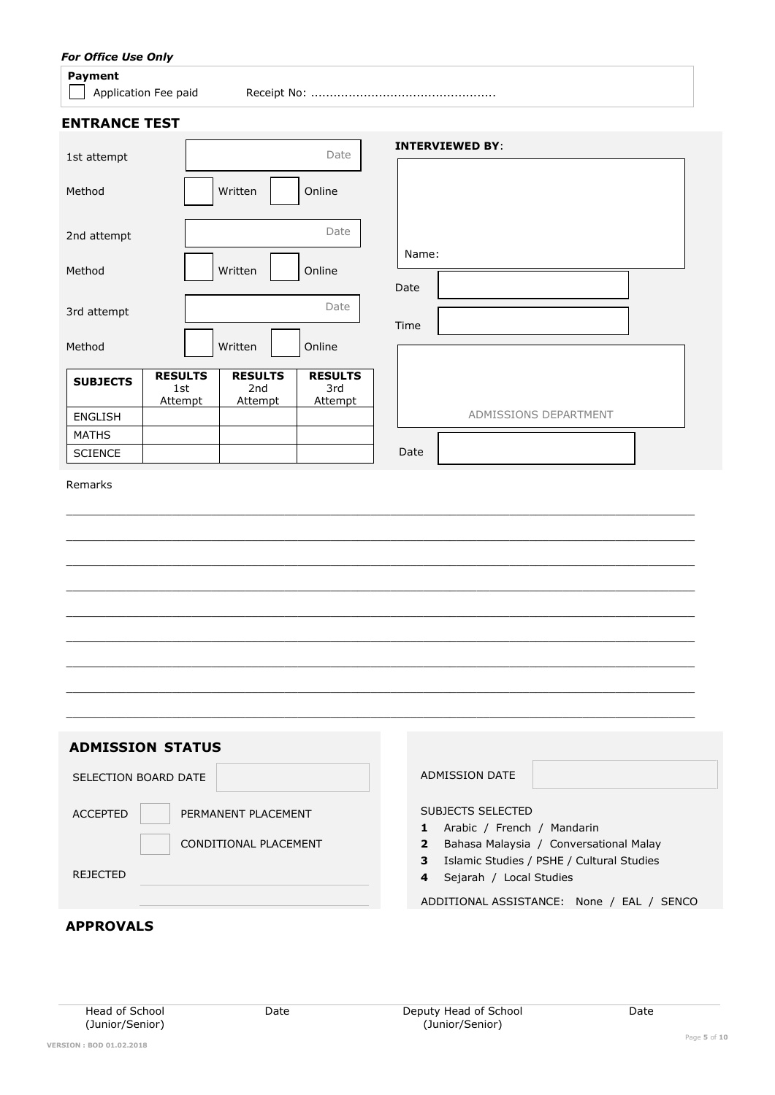## *For Office Use Only*

#### **Payment**

Application Fee paid Receipt No: .................................................

### **ENTRANCE TEST**

| ---------------- |                                         |                                         |                                         |                        |
|------------------|-----------------------------------------|-----------------------------------------|-----------------------------------------|------------------------|
| 1st attempt      |                                         |                                         | Date                                    | <b>INTERVIEWED BY:</b> |
| Method           |                                         | Written                                 | Online                                  |                        |
| 2nd attempt      |                                         |                                         | Date                                    |                        |
| Method           |                                         | Written                                 | Online                                  | Name:<br>Date          |
| 3rd attempt      |                                         |                                         | Date                                    | Time                   |
| Method           |                                         | Written                                 | Online                                  |                        |
| <b>SUBJECTS</b>  | <b>RESULTS</b><br>1st<br><b>Attempt</b> | <b>RESULTS</b><br>2nd<br><b>Attempt</b> | <b>RESULTS</b><br>3rd<br><b>Attempt</b> |                        |
| <b>ENGLISH</b>   |                                         |                                         |                                         | ADMISSIONS DEPARTMENT  |
| <b>MATHS</b>     |                                         |                                         |                                         |                        |
| <b>SCIENCE</b>   |                                         |                                         |                                         | Date                   |
| Remarks          |                                         |                                         |                                         |                        |

 $\_$  ,  $\_$  ,  $\_$  ,  $\_$  ,  $\_$  ,  $\_$  ,  $\_$  ,  $\_$  ,  $\_$  ,  $\_$  ,  $\_$  ,  $\_$  ,  $\_$  ,  $\_$  ,  $\_$  ,  $\_$  ,  $\_$  ,  $\_$  ,  $\_$  ,  $\_$  ,  $\_$  ,  $\_$  ,  $\_$  ,  $\_$  ,  $\_$  ,  $\_$  ,  $\_$  ,  $\_$  ,  $\_$  ,  $\_$  ,  $\_$  ,  $\_$  ,  $\_$  ,  $\_$  ,  $\_$  ,  $\_$  ,  $\_$  ,  $\_$  ,  $\_$  ,  $\_$  ,  $\_$  ,  $\_$  ,  $\_$  ,  $\_$  ,  $\_$  ,  $\_$  ,  $\_$  ,  $\_$  ,  $\_$  ,  $\_$  ,  $\_$  ,  $\_$  ,  $\_$  ,  $\_$  ,  $\_$  ,  $\_$  ,  $\_$  ,  $\_$  ,  $\_$  ,  $\_$  ,  $\_$  ,  $\_$  ,  $\_$  ,  $\_$  ,  $\_$  ,  $\_$  ,  $\_$  ,  $\_$  ,  $\_$  ,  $\_$  ,  $\_$  ,  $\_$  ,  $\_$  ,  $\_$  ,  $\_$  ,  $\_$  ,  $\_$  ,  $\_$  ,  $\_$  ,  $\_$  ,  $\_$  ,  $\_$  ,  $\_$  ,  $\_$  ,  $\_$  ,  $\_$  ,  $\_$  ,  $\_$  ,  $\_$  ,  $\_$  ,  $\_$  ,  $\_$  ,  $\_$  ,  $\_$  ,  $\_$  ,  $\_$  ,  $\_$  ,  $\_$  ,  $\_$  ,  $\_$  ,  $\_$  ,  $\_$  ,  $\_$  ,  $\_$  ,  $\_$  ,  $\_$  ,  $\_$  ,  $\_$  ,  $\_$  ,  $\_$  ,  $\_$  , \_\_\_\_\_\_\_\_\_\_\_\_\_\_\_\_\_\_\_\_\_\_\_\_\_\_\_\_\_\_\_\_\_\_\_\_\_\_\_\_\_\_\_\_\_\_\_\_\_\_\_\_\_\_\_\_\_\_\_\_\_\_\_\_\_\_\_\_\_\_\_\_\_\_\_\_\_\_\_\_\_\_\_\_\_\_\_\_\_\_\_\_\_\_\_ \_\_\_\_\_\_\_\_\_\_\_\_\_\_\_\_\_\_\_\_\_\_\_\_\_\_\_\_\_\_\_\_\_\_\_\_\_\_\_\_\_\_\_\_\_\_\_\_\_\_\_\_\_\_\_\_\_\_\_\_\_\_\_\_\_\_\_\_\_\_\_\_\_\_\_\_\_\_\_\_\_\_\_\_\_\_\_\_\_\_\_\_\_\_\_ \_\_\_\_\_\_\_\_\_\_\_\_\_\_\_\_\_\_\_\_\_\_\_\_\_\_\_\_\_\_\_\_\_\_\_\_\_\_\_\_\_\_\_\_\_\_\_\_\_\_\_\_\_\_\_\_\_\_\_\_\_\_\_\_\_\_\_\_\_\_\_\_\_\_\_\_\_\_\_\_\_\_\_\_\_\_\_\_\_\_\_\_\_\_\_  $\_$  ,  $\_$  ,  $\_$  ,  $\_$  ,  $\_$  ,  $\_$  ,  $\_$  ,  $\_$  ,  $\_$  ,  $\_$  ,  $\_$  ,  $\_$  ,  $\_$  ,  $\_$  ,  $\_$  ,  $\_$  ,  $\_$  ,  $\_$  ,  $\_$  ,  $\_$  ,  $\_$  ,  $\_$  ,  $\_$  ,  $\_$  ,  $\_$  ,  $\_$  ,  $\_$  ,  $\_$  ,  $\_$  ,  $\_$  ,  $\_$  ,  $\_$  ,  $\_$  ,  $\_$  ,  $\_$  ,  $\_$  ,  $\_$  ,  $\_$  ,  $\_$  ,  $\_$  ,  $\_$  ,  $\_$  ,  $\_$  ,  $\_$  ,  $\_$  ,  $\_$  ,  $\_$  ,  $\_$  ,  $\_$  ,  $\_$  ,  $\_$  ,  $\_$  ,  $\_$  ,  $\_$  ,  $\_$  ,  $\_$  ,  $\_$  ,  $\_$  ,  $\_$  ,  $\_$  ,  $\_$  ,  $\_$  ,  $\_$  ,  $\_$  ,  $\_$  ,  $\_$  ,  $\_$  ,  $\_$  ,  $\_$  ,  $\_$  ,  $\_$  ,  $\_$  ,  $\_$  ,  $\_$  ,  $\_$  ,  $\_$  ,  $\_$  ,  $\_$  ,  $\_$  ,  $\_$  ,  $\_$  ,  $\_$  ,  $\_$  ,  $\_$  ,  $\_$  ,  $\_$  ,  $\_$  ,  $\_$  ,  $\_$  ,  $\_$  ,  $\_$  ,  $\_$  ,  $\_$  ,  $\_$  ,  $\_$  ,  $\_$  ,  $\_$  ,  $\_$  ,  $\_$  ,  $\_$  ,  $\_$  ,  $\_$  ,  $\_$  ,  $\_$  ,  $\_$  ,  $\_$  ,  $\_$  ,  $\_$  ,  $\_$  ,  $\_$  ,  $\_$  ,

| <b>ADMISSION STATUS</b>                                                     |                                                                                                                                                                                                     |
|-----------------------------------------------------------------------------|-----------------------------------------------------------------------------------------------------------------------------------------------------------------------------------------------------|
| SELECTION BOARD DATE                                                        | ADMISSION DATE                                                                                                                                                                                      |
| <b>ACCEPTED</b><br>PERMANENT PLACEMENT<br>CONDITIONAL PLACEMENT<br>REJECTED | SUBJECTS SELECTED<br>Arabic / French / Mandarin<br>1.<br>Bahasa Malaysia / Conversational Malay<br>$\overline{2}$<br>3<br>Islamic Studies / PSHE / Cultural Studies<br>Sejarah / Local Studies<br>4 |
|                                                                             | ADDITIONAL ASSISTANCE: None / EAL / SENCO                                                                                                                                                           |
| <b>APPROVALS</b>                                                            |                                                                                                                                                                                                     |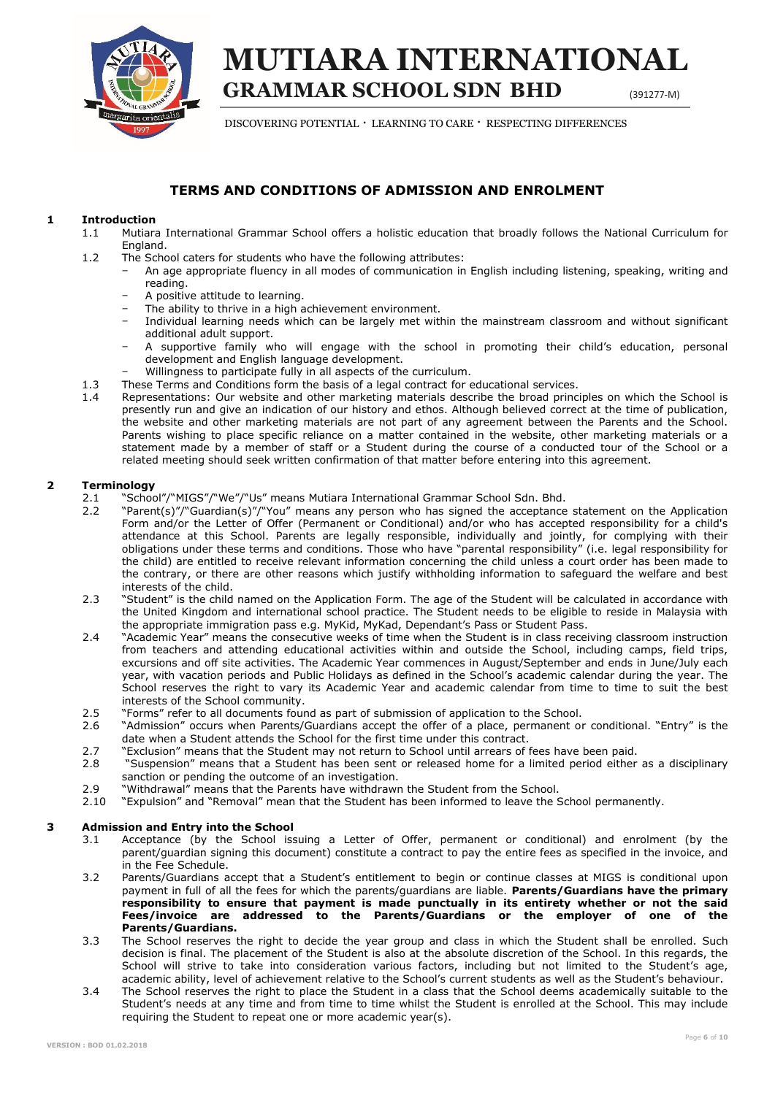

## **GRAMMAR SCHOOL SDN BHD** (391277-M) **MUTIARA INTERNATIONAL**

DISCOVERING POTENTIAL  $\cdot$  LEARNING TO CARE  $\cdot$  RESPECTING DIFFERENCES

## **TERMS AND CONDITIONS OF ADMISSION AND ENROLMENT**

#### **1 Introduction**

- 1.1 Mutiara International Grammar School offers a holistic education that broadly follows the National Curriculum for England.
- 1.2 The School caters for students who have the following attributes:
	- − An age appropriate fluency in all modes of communication in English including listening, speaking, writing and reading.
	- − A positive attitude to learning.
	- The ability to thrive in a high achievement environment.
	- − Individual learning needs which can be largely met within the mainstream classroom and without significant additional adult support.
	- A supportive family who will engage with the school in promoting their child's education, personal development and English language development.
	- Willingness to participate fully in all aspects of the curriculum.
- 1.3 These Terms and Conditions form the basis of a legal contract for educational services.
- 1.4 Representations: Our website and other marketing materials describe the broad principles on which the School is presently run and give an indication of our history and ethos. Although believed correct at the time of publication, the website and other marketing materials are not part of any agreement between the Parents and the School. Parents wishing to place specific reliance on a matter contained in the website, other marketing materials or a statement made by a member of staff or a Student during the course of a conducted tour of the School or a related meeting should seek written confirmation of that matter before entering into this agreement.

#### **2 Terminology**

- 2.1 "School"/"MIGS"/"We"/"Us" means Mutiara International Grammar School Sdn. Bhd.
- 2.2 "Parent(s)"/"Guardian(s)"/"You" means any person who has signed the acceptance statement on the Application Form and/or the Letter of Offer (Permanent or Conditional) and/or who has accepted responsibility for a child's attendance at this School. Parents are legally responsible, individually and jointly, for complying with their obligations under these terms and conditions. Those who have "parental responsibility" (i.e. legal responsibility for the child) are entitled to receive relevant information concerning the child unless a court order has been made to the contrary, or there are other reasons which justify withholding information to safeguard the welfare and best interests of the child.
- 2.3 "Student" is the child named on the Application Form. The age of the Student will be calculated in accordance with the United Kingdom and international school practice. The Student needs to be eligible to reside in Malaysia with the appropriate immigration pass e.g. MyKid, MyKad, Dependant's Pass or Student Pass.
- 2.4 "Academic Year" means the consecutive weeks of time when the Student is in class receiving classroom instruction from teachers and attending educational activities within and outside the School, including camps, field trips, excursions and off site activities. The Academic Year commences in August/September and ends in June/July each year, with vacation periods and Public Holidays as defined in the School's academic calendar during the year. The School reserves the right to vary its Academic Year and academic calendar from time to time to suit the best interests of the School community.
- 2.5 "Forms" refer to all documents found as part of submission of application to the School.
- 2.6 "Admission" occurs when Parents/Guardians accept the offer of a place, permanent or conditional. "Entry" is the date when a Student attends the School for the first time under this contract.
- 2.7 "Exclusion" means that the Student may not return to School until arrears of fees have been paid.<br>2.8 "Suspension" means that a Student has been sent or released home for a limited period either
- 2.8 "Suspension" means that a Student has been sent or released home for a limited period either as a disciplinary sanction or pending the outcome of an investigation.
- 2.9 "Withdrawal" means that the Parents have withdrawn the Student from the School.<br>2.10 "Expulsion" and "Removal" mean that the Student has been informed to leave the S
- 2.10 "Expulsion" and "Removal" mean that the Student has been informed to leave the School permanently.

#### **3 Admission and Entry into the School**

- 3.1 Acceptance (by the School issuing a Letter of Offer, permanent or conditional) and enrolment (by the parent/guardian signing this document) constitute a contract to pay the entire fees as specified in the invoice, and in the Fee Schedule.
- 3.2 Parents/Guardians accept that a Student's entitlement to begin or continue classes at MIGS is conditional upon payment in full of all the fees for which the parents/guardians are liable. **Parents/Guardians have the primary responsibility to ensure that payment is made punctually in its entirety whether or not the said Fees/invoice are addressed to the Parents/Guardians or the employer of one of the Parents/Guardians.**
- 3.3 The School reserves the right to decide the year group and class in which the Student shall be enrolled. Such decision is final. The placement of the Student is also at the absolute discretion of the School. In this regards, the School will strive to take into consideration various factors, including but not limited to the Student's age, academic ability, level of achievement relative to the School's current students as well as the Student's behaviour.
- 3.4 The School reserves the right to place the Student in a class that the School deems academically suitable to the Student's needs at any time and from time to time whilst the Student is enrolled at the School. This may include requiring the Student to repeat one or more academic year(s).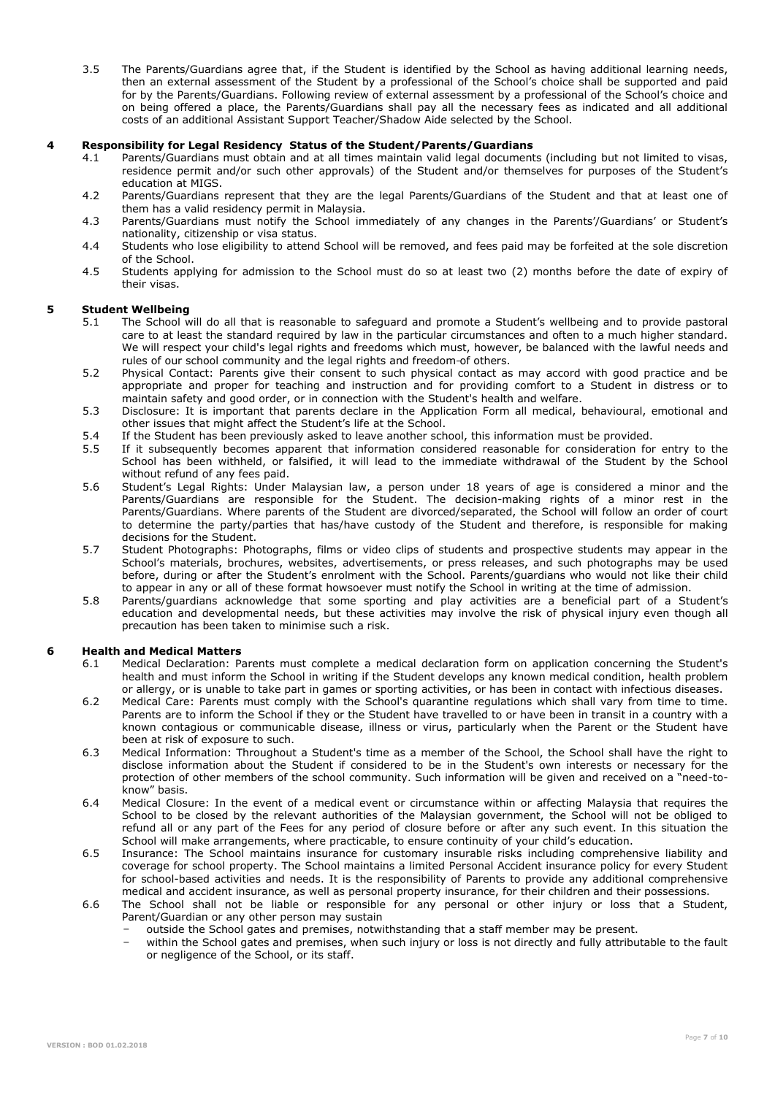3.5 The Parents/Guardians agree that, if the Student is identified by the School as having additional learning needs, then an external assessment of the Student by a professional of the School's choice shall be supported and paid for by the Parents/Guardians. Following review of external assessment by a professional of the School's choice and on being offered a place, the Parents/Guardians shall pay all the necessary fees as indicated and all additional costs of an additional Assistant Support Teacher/Shadow Aide selected by the School.

#### **4 Responsibility for Legal Residency Status of the Student/Parents/Guardians**

- 4.1 Parents/Guardians must obtain and at all times maintain valid legal documents (including but not limited to visas, residence permit and/or such other approvals) of the Student and/or themselves for purposes of the Student's education at MIGS.
- 4.2 Parents/Guardians represent that they are the legal Parents/Guardians of the Student and that at least one of them has a valid residency permit in Malaysia.
- 4.3 Parents/Guardians must notify the School immediately of any changes in the Parents'/Guardians' or Student's nationality, citizenship or visa status.
- 4.4 Students who lose eligibility to attend School will be removed, and fees paid may be forfeited at the sole discretion of the School.
- 4.5 Students applying for admission to the School must do so at least two (2) months before the date of expiry of their visas.

#### **5 Student Wellbeing**

- 5.1 The School will do all that is reasonable to safeguard and promote a Student's wellbeing and to provide pastoral care to at least the standard required by law in the particular circumstances and often to a much higher standard. We will respect your child's legal rights and freedoms which must, however, be balanced with the lawful needs and rules of our school community and the legal rights and freedom of others.
- 5.2 Physical Contact: Parents give their consent to such physical contact as may accord with good practice and be appropriate and proper for teaching and instruction and for providing comfort to a Student in distress or to maintain safety and good order, or in connection with the Student's health and welfare.
- 5.3 Disclosure: It is important that parents declare in the Application Form all medical, behavioural, emotional and other issues that might affect the Student's life at the School.
- 5.4 If the Student has been previously asked to leave another school, this information must be provided.<br>5.5 If it subsequently becomes apparent that information considered reasonable for consideration for
- If it subsequently becomes apparent that information considered reasonable for consideration for entry to the School has been withheld, or falsified, it will lead to the immediate withdrawal of the Student by the School without refund of any fees paid.
- 5.6 Student's Legal Rights: Under Malaysian law, a person under 18 years of age is considered a minor and the Parents/Guardians are responsible for the Student. The decision-making rights of a minor rest in the Parents/Guardians. Where parents of the Student are divorced/separated, the School will follow an order of court to determine the party/parties that has/have custody of the Student and therefore, is responsible for making decisions for the Student.
- 5.7 Student Photographs: Photographs, films or video clips of students and prospective students may appear in the School's materials, brochures, websites, advertisements, or press releases, and such photographs may be used before, during or after the Student's enrolment with the School. Parents/guardians who would not like their child to appear in any or all of these format howsoever must notify the School in writing at the time of admission.
- 5.8 Parents/guardians acknowledge that some sporting and play activities are a beneficial part of a Student's education and developmental needs, but these activities may involve the risk of physical injury even though all precaution has been taken to minimise such a risk.

#### **6 Health and Medical Matters**

- 6.1 Medical Declaration: Parents must complete a medical declaration form on application concerning the Student's health and must inform the School in writing if the Student develops any known medical condition, health problem or allergy, or is unable to take part in games or sporting activities, or has been in contact with infectious diseases.
- 6.2 Medical Care: Parents must comply with the School's quarantine regulations which shall vary from time to time. Parents are to inform the School if they or the Student have travelled to or have been in transit in a country with a known contagious or communicable disease, illness or virus, particularly when the Parent or the Student have been at risk of exposure to such.
- 6.3 Medical Information: Throughout a Student's time as a member of the School, the School shall have the right to disclose information about the Student if considered to be in the Student's own interests or necessary for the protection of other members of the school community. Such information will be given and received on a "need-toknow" basis.
- 6.4 Medical Closure: In the event of a medical event or circumstance within or affecting Malaysia that requires the School to be closed by the relevant authorities of the Malaysian government, the School will not be obliged to refund all or any part of the Fees for any period of closure before or after any such event. In this situation the School will make arrangements, where practicable, to ensure continuity of your child's education.
- 6.5 Insurance: The School maintains insurance for customary insurable risks including comprehensive liability and coverage for school property. The School maintains a limited Personal Accident insurance policy for every Student for school-based activities and needs. It is the responsibility of Parents to provide any additional comprehensive medical and accident insurance, as well as personal property insurance, for their children and their possessions.
- 6.6 The School shall not be liable or responsible for any personal or other injury or loss that a Student, Parent/Guardian or any other person may sustain
	- − outside the School gates and premises, notwithstanding that a staff member may be present.
	- within the School gates and premises, when such injury or loss is not directly and fully attributable to the fault or negligence of the School, or its staff.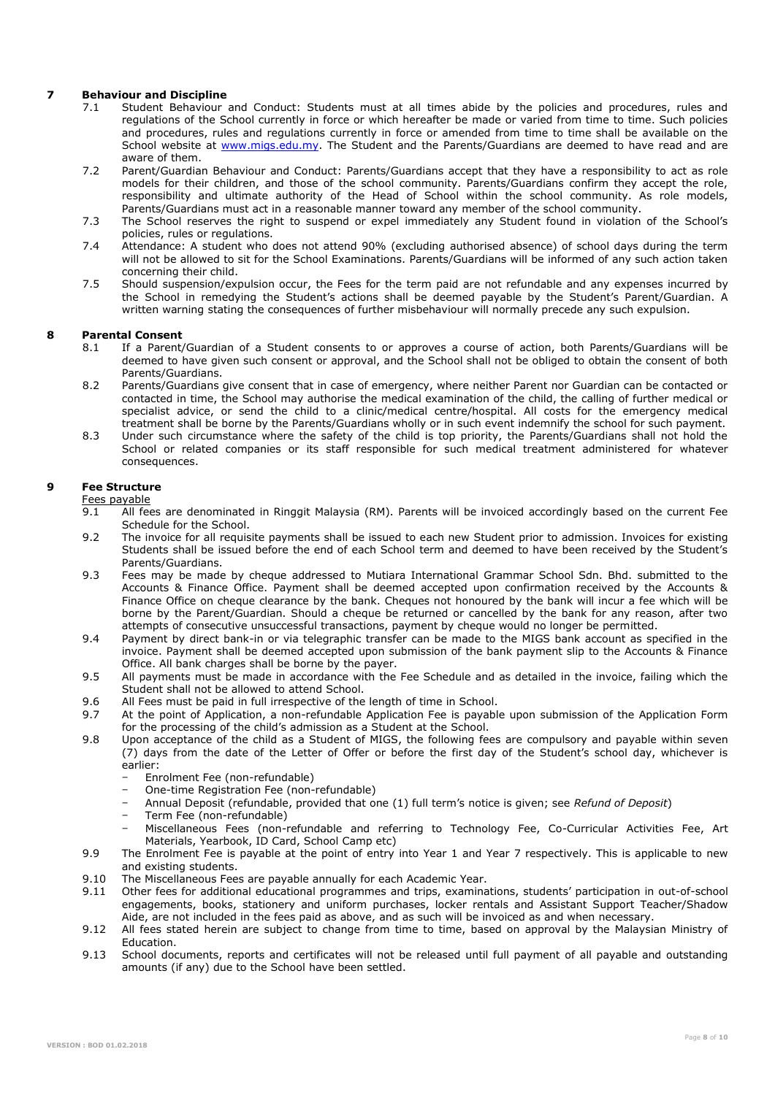#### **7 Behaviour and Discipline**

- 7.1 Student Behaviour and Conduct: Students must at all times abide by the policies and procedures, rules and regulations of the School currently in force or which hereafter be made or varied from time to time. Such policies and procedures, rules and regulations currently in force or amended from time to time shall be available on the School website at [www.migs.edu.my.](http://www.migs.edu.my/) The Student and the Parents/Guardians are deemed to have read and are aware of them.
- 7.2 Parent/Guardian Behaviour and Conduct: Parents/Guardians accept that they have a responsibility to act as role models for their children, and those of the school community. Parents/Guardians confirm they accept the role, responsibility and ultimate authority of the Head of School within the school community. As role models, Parents/Guardians must act in a reasonable manner toward any member of the school community.
- 7.3 The School reserves the right to suspend or expel immediately any Student found in violation of the School's policies, rules or regulations.
- 7.4 Attendance: A student who does not attend 90% (excluding authorised absence) of school days during the term will not be allowed to sit for the School Examinations. Parents/Guardians will be informed of any such action taken concerning their child.
- 7.5 Should suspension/expulsion occur, the Fees for the term paid are not refundable and any expenses incurred by the School in remedying the Student's actions shall be deemed payable by the Student's Parent/Guardian. A written warning stating the consequences of further misbehaviour will normally precede any such expulsion.

#### **8 Parental Consent**

- 8.1 If a Parent/Guardian of a Student consents to or approves a course of action, both Parents/Guardians will be deemed to have given such consent or approval, and the School shall not be obliged to obtain the consent of both Parents/Guardians.
- 8.2 Parents/Guardians give consent that in case of emergency, where neither Parent nor Guardian can be contacted or contacted in time, the School may authorise the medical examination of the child, the calling of further medical or specialist advice, or send the child to a clinic/medical centre/hospital. All costs for the emergency medical treatment shall be borne by the Parents/Guardians wholly or in such event indemnify the school for such payment.
- 8.3 Under such circumstance where the safety of the child is top priority, the Parents/Guardians shall not hold the School or related companies or its staff responsible for such medical treatment administered for whatever consequences.

#### **9 Fee Structure**

Fees payable<br>9.1 All fee

- 9.1 All fees are denominated in Ringgit Malaysia (RM). Parents will be invoiced accordingly based on the current Fee Schedule for the School.
- 9.2 The invoice for all requisite payments shall be issued to each new Student prior to admission. Invoices for existing Students shall be issued before the end of each School term and deemed to have been received by the Student's Parents/Guardians.
- 9.3 Fees may be made by cheque addressed to Mutiara International Grammar School Sdn. Bhd. submitted to the Accounts & Finance Office. Payment shall be deemed accepted upon confirmation received by the Accounts & Finance Office on cheque clearance by the bank. Cheques not honoured by the bank will incur a fee which will be borne by the Parent/Guardian. Should a cheque be returned or cancelled by the bank for any reason, after two attempts of consecutive unsuccessful transactions, payment by cheque would no longer be permitted.
- 9.4 Payment by direct bank-in or via telegraphic transfer can be made to the MIGS bank account as specified in the invoice. Payment shall be deemed accepted upon submission of the bank payment slip to the Accounts & Finance Office. All bank charges shall be borne by the payer.
- 9.5 All payments must be made in accordance with the Fee Schedule and as detailed in the invoice, failing which the Student shall not be allowed to attend School.
- 9.6 All Fees must be paid in full irrespective of the length of time in School.
- 9.7 At the point of Application, a non-refundable Application Fee is payable upon submission of the Application Form for the processing of the child's admission as a Student at the School.
- 9.8 Upon acceptance of the child as a Student of MIGS, the following fees are compulsory and payable within seven (7) days from the date of the Letter of Offer or before the first day of the Student's school day, whichever is earlier:
	- − Enrolment Fee (non-refundable)
	- − One-time Registration Fee (non-refundable)
	- − Annual Deposit (refundable, provided that one (1) full term's notice is given; see *Refund of Deposit*)
	- − Term Fee (non-refundable)
	- − Miscellaneous Fees (non-refundable and referring to Technology Fee, Co-Curricular Activities Fee, Art Materials, Yearbook, ID Card, School Camp etc)
- 9.9 The Enrolment Fee is payable at the point of entry into Year 1 and Year 7 respectively. This is applicable to new and existing students.
- 9.10 The Miscellaneous Fees are payable annually for each Academic Year.<br>9.11 Other fees for additional educational programmes and trips, examing
- 9.11 Other fees for additional educational programmes and trips, examinations, students' participation in out-of-school engagements, books, stationery and uniform purchases, locker rentals and Assistant Support Teacher/Shadow Aide, are not included in the fees paid as above, and as such will be invoiced as and when necessary.
- 9.12 All fees stated herein are subject to change from time to time, based on approval by the Malaysian Ministry of Education.
- 9.13 School documents, reports and certificates will not be released until full payment of all payable and outstanding amounts (if any) due to the School have been settled.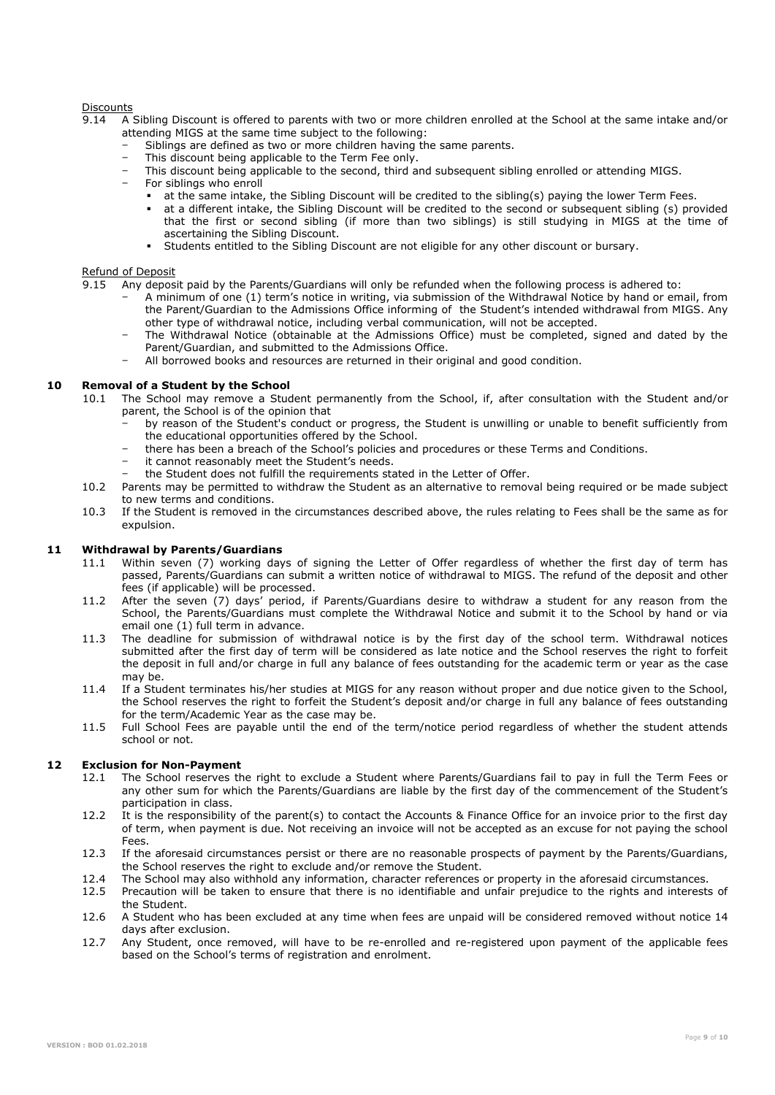## Discounts<br>9 14 A

- 9.14 A Sibling Discount is offered to parents with two or more children enrolled at the School at the same intake and/or attending MIGS at the same time subject to the following:
	- Siblings are defined as two or more children having the same parents.
	- This discount being applicable to the Term Fee only.
	- − This discount being applicable to the second, third and subsequent sibling enrolled or attending MIGS.
	- For siblings who enroll
		- at the same intake, the Sibling Discount will be credited to the sibling(s) paying the lower Term Fees.
		- at a different intake, the Sibling Discount will be credited to the second or subsequent sibling (s) provided that the first or second sibling (if more than two siblings) is still studying in MIGS at the time of ascertaining the Sibling Discount.
		- Students entitled to the Sibling Discount are not eligible for any other discount or bursary.

#### Refund of Deposit

- 9.15 Any deposit paid by the Parents/Guardians will only be refunded when the following process is adhered to:
	- − A minimum of one (1) term's notice in writing, via submission of the Withdrawal Notice by hand or email, from the Parent/Guardian to the Admissions Office informing of the Student's intended withdrawal from MIGS. Any other type of withdrawal notice, including verbal communication, will not be accepted.
	- The Withdrawal Notice (obtainable at the Admissions Office) must be completed, signed and dated by the Parent/Guardian, and submitted to the Admissions Office.
	- − All borrowed books and resources are returned in their original and good condition.

#### **10 Removal of a Student by the School**

- 10.1 The School may remove a Student permanently from the School, if, after consultation with the Student and/or parent, the School is of the opinion that
	- by reason of the Student's conduct or progress, the Student is unwilling or unable to benefit sufficiently from the educational opportunities offered by the School.
	- there has been a breach of the School's policies and procedures or these Terms and Conditions.
	- it cannot reasonably meet the Student's needs.
	- the Student does not fulfill the requirements stated in the Letter of Offer.
- 10.2 Parents may be permitted to withdraw the Student as an alternative to removal being required or be made subject to new terms and conditions.
- 10.3 If the Student is removed in the circumstances described above, the rules relating to Fees shall be the same as for expulsion.

#### **11 Withdrawal by Parents/Guardians**

- 11.1 Within seven (7) working days of signing the Letter of Offer regardless of whether the first day of term has passed, Parents/Guardians can submit a written notice of withdrawal to MIGS. The refund of the deposit and other fees (if applicable) will be processed.
- 11.2 After the seven (7) days' period, if Parents/Guardians desire to withdraw a student for any reason from the School, the Parents/Guardians must complete the Withdrawal Notice and submit it to the School by hand or via email one (1) full term in advance.
- 11.3 The deadline for submission of withdrawal notice is by the first day of the school term. Withdrawal notices submitted after the first day of term will be considered as late notice and the School reserves the right to forfeit the deposit in full and/or charge in full any balance of fees outstanding for the academic term or year as the case may be.
- 11.4 If a Student terminates his/her studies at MIGS for any reason without proper and due notice given to the School, the School reserves the right to forfeit the Student's deposit and/or charge in full any balance of fees outstanding for the term/Academic Year as the case may be.
- 11.5 Full School Fees are payable until the end of the term/notice period regardless of whether the student attends school or not.

#### **12 Exclusion for Non-Payment**

- 12.1 The School reserves the right to exclude a Student where Parents/Guardians fail to pay in full the Term Fees or any other sum for which the Parents/Guardians are liable by the first day of the commencement of the Student's participation in class.
- 12.2 It is the responsibility of the parent(s) to contact the Accounts & Finance Office for an invoice prior to the first day of term, when payment is due. Not receiving an invoice will not be accepted as an excuse for not paying the school Fees.
- 12.3 If the aforesaid circumstances persist or there are no reasonable prospects of payment by the Parents/Guardians, the School reserves the right to exclude and/or remove the Student.
- 12.4 The School may also withhold any information, character references or property in the aforesaid circumstances.<br>12.5 Precaution will be taken to ensure that there is no identifiable and unfair prejudice to the rights a
- 12.5 Precaution will be taken to ensure that there is no identifiable and unfair prejudice to the rights and interests of the Student.
- 12.6 A Student who has been excluded at any time when fees are unpaid will be considered removed without notice 14 days after exclusion.
- 12.7 Any Student, once removed, will have to be re-enrolled and re-registered upon payment of the applicable fees based on the School's terms of registration and enrolment.